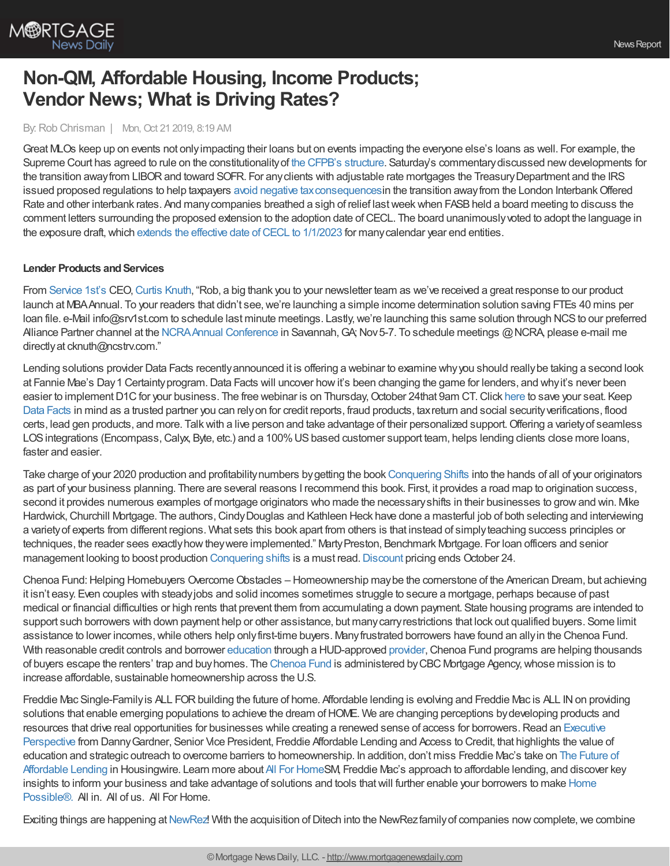

# **Non-QM, Affordable Housing, Income Products; Vendor News; What is Driving Rates?**

#### By:Rob Chrisman | Mon, Oct 21 2019, 8:19 AM

Great MLOs keep up on events not onlyimpacting their loans but on events impacting the everyone else's loans as well. For example, the Supreme Court has agreed to rule on the constitutionality of the CFPB's [structure](https://www.scotusblog.com/2019/10/justices-to-review-constitutionality-of-cfpb-structure/). Saturday's commentary discussed new developments for the transition away from LIBOR and toward SOFR. For any clients with adjustable rate mortgages the Treasury Department and the IRS issued proposed regulations to help taxpayers avoid negative tax consequences in the transition away from the London Interbank Offered Rate and other interbank rates. And many companies breathed a sigh of relief last week when FASB held a board meeting to discuss the comment letters surrounding the proposed extension to the adoption date of CECL. The board unanimously voted to adopt the language in the exposure draft, which extends the effective date of CECL to  $1/1/2023$  for many calendar year end entities.

#### **Lender Products and Services**

From [Service](https://www.srv1st.com/) 1st's CEO, Curtis [Knuth,](https://www.linkedin.com/in/curtis-r-knuth-7a94aa27/) "Rob, a big thank you to your newsletter team as we've received a great response to our product launch at MBA Annual. To your readers that didn't see, we're launching a simple income determination solution saving FTEs 40 mins per loan file. e-Mail info@srv1st.com to schedule last minute meetings. Lastly, we're launching this same solution through NCS to our preferred Alliance Partner channel at the NCRA Annual Conference in Savannah, GA; Nov 5-7. To schedule meetings @NCRA, please e-mail me directly at cknuth@ncstrv.com."

Lending solutions provider Data Facts recentlyannounced it is offering a webinar to examine whyyou should reallybe taking a second look at Fannie Mae's Day 1 Certainty program. Data Facts will uncover how it's been changing the game for lenders, and why it's never been easier to implement D1C for your business. The free webinar is on Thursday, October 24that 9am CT. Click [here](https://attendee.gotowebinar.com/register/2607607675791836684?source=Chrisman) to save your seat. Keep Data [Facts](http://www.datafacts.com/lending-solutions) in mind as a trusted partner you can relyon for credit reports, fraud products, taxreturn and social securityverifications, flood certs, lead gen products, and more. Talkwith a live person and take advantage of their personalized support.Offering a varietyof seamless LOS integrations (Encompass, Calyx, Byte, etc.) and a 100% US based customer support team, helps lending clients close more loans, faster and easier.

Take charge of your 2020 production and profitability numbers by getting the book [Conquering](https://www.conqueringshifts.com/chrisman) Shifts into the hands of all of your originators as part of your business planning. There are several reasons I recommend this book. First, it provides a road map to origination success, second it provides numerous examples of mortgage originators who made the necessaryshifts in their businesses to growand win. Mike Hardwick, Churchill Mortgage. The authors, Cindy Douglas and Kathleen Heck have done a masterful job of both selecting and interviewing a varietyof experts from different regions. What sets this book apart from others is that instead of simplyteaching success principles or techniques, the reader sees exactly how they were implemented." Marty Preston, Benchmark Mortgage. For loan officers and senior management looking to boost production [Conquering](https://www.conqueringshifts.com/chrisman) shifts is a must read. [Discount](https://www.conqueringshifts.com/chrisman) pricing ends October 24.

Chenoa Fund: Helping Homebuyers Overcome Obstacles – Homeownership may be the cornerstone of the American Dream, but achieving it isn't easy. Even couples with steadyjobs and solid incomes sometimes struggle to secure a mortgage, perhaps because of past medical or financial difficulties or high rents that prevent them from accumulating a down payment. State housing programs are intended to support such borrowers with down payment help or other assistance, but manycarryrestrictions that lock out qualified buyers. Some limit assistance to lower incomes,while others help onlyfirst-time buyers. Manyfrustrated borrowers have found an allyin the Chenoa Fund. With reasonable credit controls and borrower [education](https://www.borrowersuccess.org/) through a HUD-approved [provider](http://hlp.org/), Chenoa Fund programs are helping thousands of buyers escape the renters' trap and buyhomes. The [Chenoa](http://chenoafund.org/) Fund is administered byCBC Mortgage Agency,whose mission is to increase affordable, sustainable homeownership across the U.S.

Freddie Mac Single-Family is ALL FOR building the future of home. Affordable lending is evolving and Freddie Mac is ALL IN on providing solutions that enable emerging populations to achieve the dream of HOME. We are changing perceptions by developing products and resources that drive real opportunities for businesses while creating a renewed sense of access for borrowers. Read an Executive Perspective from Danny Gardner, Senior Vice President, Freddie Affordable Lending and Access to Credit, that highlights the value of education and strategic outreach to overcome barriers to [homeownership.](https://www.housingwire.com/articles/49225-the-future-of-affordable-lending?v=preview) In addition, don't miss Freddie Mac's take on The Future of Affordable Lending in Housingwire. Learn more about All For [Home](https://sf.freddiemac.com/working-with-us/affordable-lending/all-for-home)SM, Freddie Mac's approach to affordable lending, and discover key insights to inform your business and take advantage of solutions and tools thatwill further enable your borrowers to make Home [Possible®.](https://sf.freddiemac.com/working-with-us/origination-underwriting/mortgage-products/home-possible) All in. All of us. All For Home.

Exciting things are happening at [NewRez](https://www.newrezcorrespondent.com/)! With the acquisition of Ditech into the NewRez family of companies now complete, we combine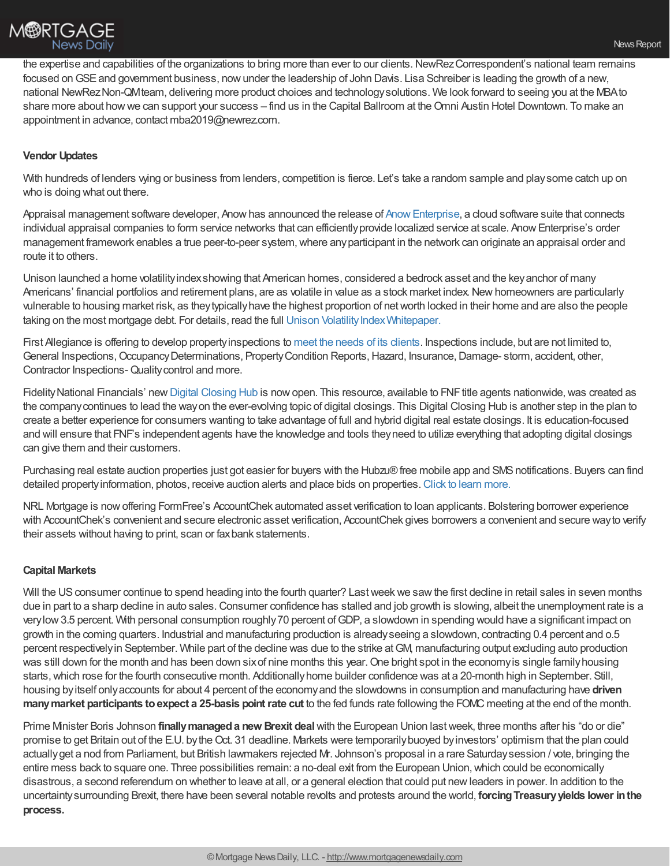

the expertise and capabilities of the organizations to bring more than ever to our clients. NewRez Correspondent's national team remains focused on GSE and government business, now under the leadership of John Davis. Lisa Schreiber is leading the growth of a new, national NewRezNon-QMteam, delivering more product choices and technologysolutions. We look forward to seeing you at the MBAto share more about howwe can support your success – find us in the Capital Ballroom at theOmni Austin Hotel Downtown. To make an appointment in advance, contact mba2019@newrez.com.

## **Vendor Updates**

With hundreds of lenders wing or business from lenders, competition is fierce. Let's take a random sample and playsome catch up on who is doing what out there.

Appraisal management software developer, Anow has announced the release of Anow Enterprise, a cloud software suite that connects individual appraisal companies to form service networks that can efficiently provide localized service at scale. Anow Enterprise's order management framework enables a true peer-to-peer system, where any participant in the network can originate an appraisal order and route it to others.

Unison launched a home volatilityindexshowing that American homes, considered a bedrock asset and the keyanchor of many Americans' financial portfolios and retirement plans, are as volatile in value as a stock market index. New homeowners are particularly vulnerable to housing market risk, as theytypicallyhave the highest proportion of networth locked in their home and are also the people taking on the most mortgage debt. For details, read the full Unison Volatility Index Whitepaper.

First Allegiance is offering to develop propertyinspections to meet the needs of its [clients](https://www.firstallegiance.com/). Inspections include, but are not limited to, General Inspections, Occupancy Determinations, Property Condition Reports, Hazard, Insurance, Damage- storm, accident, other, Contractor Inspections-Qualitycontrol and more.

Fidelity National Financials' new Digital [Closing](https://digitalclosinghub.com/) Hub is now open. This resource, available to FNF title agents nationwide, was created as the companycontinues to lead the wayon the ever-evolving topic of digital closings. This Digital Closing Hub is another step in the plan to create a better experience for consumers wanting to take advantage of full and hybrid digital real estate closings. It is education-focused and will ensure that FNF's independent agents have the knowledge and tools theyneed to utilize everything that adopting digital closings can give them and their customers.

Purchasing real estate auction properties just got easier for buyers with the Hubzu® free mobile app and SMS notifications. Buyers can find detailed propertyinformation, photos, receive auction alerts and place bids on properties.Click to learn [more.](https://pages.altisource.com/Mobile-App-Launch-HZ_LP.html)

NRL Mortgage is nowoffering FormFree's AccountChek automated asset verification to loan applicants. Bolstering borrower experience with AccountChek's convenient and secure electronic asset verification, AccountChek gives borrowers a convenient and secure wayto verify their assets without having to print, scan or faxbank statements.

### **Capital Markets**

Will the US consumer continue to spend heading into the fourth quarter? Last week we saw the first decline in retail sales in seven months due in part to a sharp decline in auto sales. Consumer confidence has stalled and job growth is slowing, albeit the unemployment rate is a verylow3.5 percent. With personal consumption roughly70 percent ofGDP, a slowdown in spending would have a significant impact on growth in the coming quarters. Industrial and manufacturing production is alreadyseeing a slowdown, contracting 0.4 percent and o.5 percent respectivelyin September. While part of the decline was due to the strike atGM, manufacturing output excluding auto production was still down for the month and has been down six of nine months this year. One bright spot in the economy is single family housing starts,which rose for the fourth consecutive month. Additionallyhome builder confidence was at a 20-month high in September. Still, housing byitself onlyaccounts for about 4 percent of the economyand the slowdowns in consumption and manufacturing have **driven manymarket participants toexpect a 25-basis pointrate cut** to the fed funds rate following the FOMC meeting at the end of the month.

Prime Minister Boris Johnson **finallymanageda new Brexit deal**with the European Union lastweek, three months after his "do or die" promise to get Britain out of the E.U. by the Oct. 31 deadline. Markets were temporarily buoyed by investors' optimism that the plan could actuallyget a nod from Parliament, but British lawmakers rejected Mr. Johnson's proposal in a rare Saturdaysession / vote, bringing the entire mess back to square one. Three possibilities remain: a no-deal exit from the European Union,which could be economically disastrous, a second referendum on whether to leave at all, or a general election that could put newleaders in power. In addition to the uncertaintysurrounding Brexit, there have been several notable revolts and protests around the world, **forcingTreasuryyields lower inthe process.**